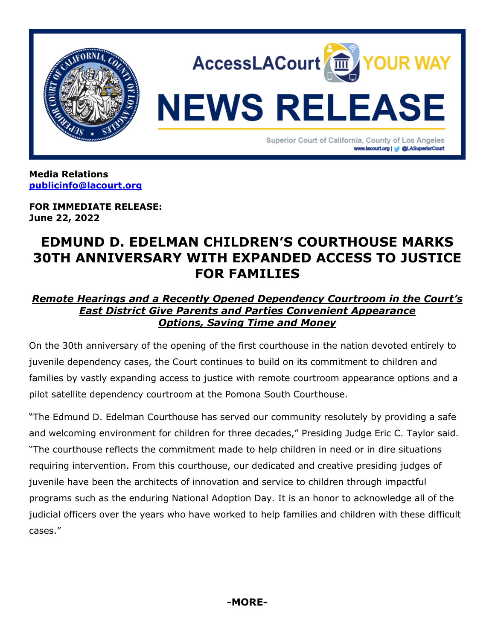

**Media Relations [publicinfo@lacourt.org](mailto:publicinfo@lacourt.org)**

**FOR IMMEDIATE RELEASE: June 22, 2022**

## **EDMUND D. EDELMAN CHILDREN'S COURTHOUSE MARKS 30TH ANNIVERSARY WITH EXPANDED ACCESS TO JUSTICE FOR FAMILIES**

## *Remote Hearings and a Recently Opened Dependency Courtroom in the Court's East District Give Parents and Parties Convenient Appearance Options, Saving Time and Money*

On the 30th anniversary of the opening of the first courthouse in the nation devoted entirely to juvenile dependency cases, the Court continues to build on its commitment to children and families by vastly expanding access to justice with remote courtroom appearance options and a pilot satellite dependency courtroom at the Pomona South Courthouse.

"The Edmund D. Edelman Courthouse has served our community resolutely by providing a safe and welcoming environment for children for three decades," Presiding Judge Eric C. Taylor said. "The courthouse reflects the commitment made to help children in need or in dire situations requiring intervention. From this courthouse, our dedicated and creative presiding judges of juvenile have been the architects of innovation and service to children through impactful programs such as the enduring National Adoption Day. It is an honor to acknowledge all of the judicial officers over the years who have worked to help families and children with these difficult cases."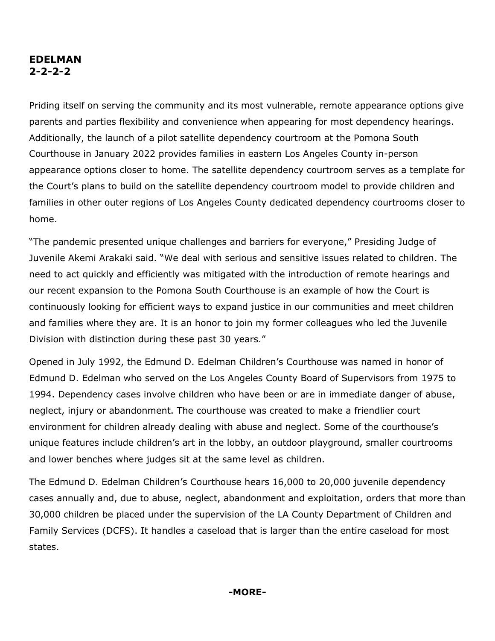## **EDELMAN 2-2-2-2**

Priding itself on serving the community and its most vulnerable, remote appearance options give parents and parties flexibility and convenience when appearing for most dependency hearings. Additionally, the launch of a pilot satellite dependency courtroom at the Pomona South Courthouse in January 2022 provides families in eastern Los Angeles County in-person appearance options closer to home. The satellite dependency courtroom serves as a template for the Court's plans to build on the satellite dependency courtroom model to provide children and families in other outer regions of Los Angeles County dedicated dependency courtrooms closer to home.

"The pandemic presented unique challenges and barriers for everyone," Presiding Judge of Juvenile Akemi Arakaki said. "We deal with serious and sensitive issues related to children. The need to act quickly and efficiently was mitigated with the introduction of remote hearings and our recent expansion to the Pomona South Courthouse is an example of how the Court is continuously looking for efficient ways to expand justice in our communities and meet children and families where they are. It is an honor to join my former colleagues who led the Juvenile Division with distinction during these past 30 years."

Opened in July 1992, the Edmund D. Edelman Children's Courthouse was named in honor of Edmund D. Edelman who served on the Los Angeles County Board of Supervisors from 1975 to 1994. Dependency cases involve children who have been or are in immediate danger of abuse, neglect, injury or abandonment. The courthouse was created to make a friendlier court environment for children already dealing with abuse and neglect. Some of the courthouse's unique features include children's art in the lobby, an outdoor playground, smaller courtrooms and lower benches where judges sit at the same level as children.

The Edmund D. Edelman Children's Courthouse hears 16,000 to 20,000 juvenile dependency cases annually and, due to abuse, neglect, abandonment and exploitation, orders that more than 30,000 children be placed under the supervision of the LA [County Department of Children](http://www.laalmanac.com/social/so05b.php) and Family [Services](http://www.laalmanac.com/social/so05b.php) (DCFS). It handles a caseload that is larger than the entire caseload for most states.